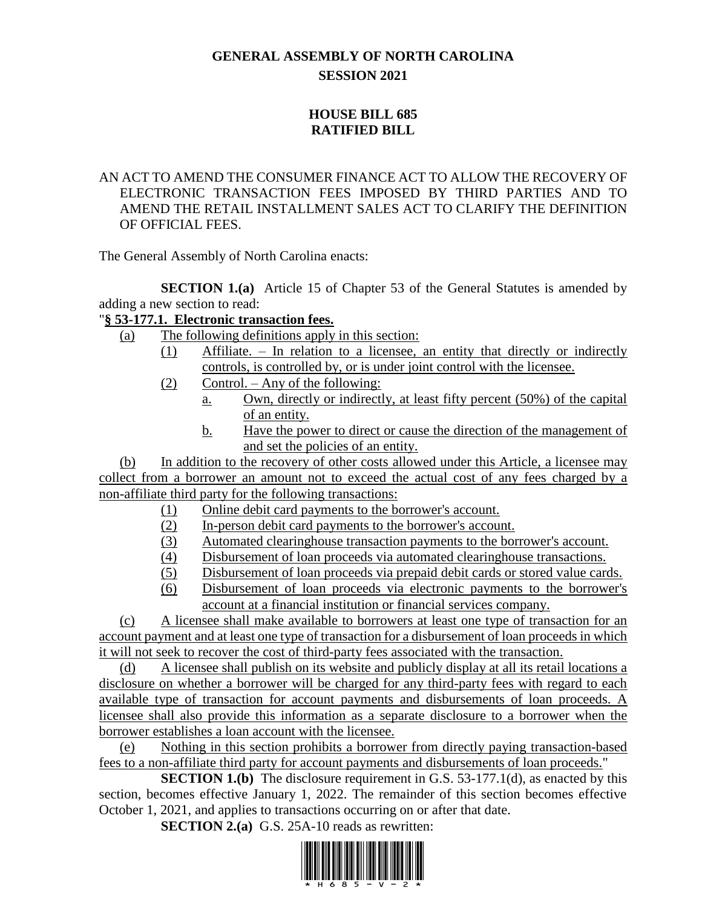# **GENERAL ASSEMBLY OF NORTH CAROLINA SESSION 2021**

## **HOUSE BILL 685 RATIFIED BILL**

### AN ACT TO AMEND THE CONSUMER FINANCE ACT TO ALLOW THE RECOVERY OF ELECTRONIC TRANSACTION FEES IMPOSED BY THIRD PARTIES AND TO AMEND THE RETAIL INSTALLMENT SALES ACT TO CLARIFY THE DEFINITION OF OFFICIAL FEES.

The General Assembly of North Carolina enacts:

**SECTION 1.(a)** Article 15 of Chapter 53 of the General Statutes is amended by adding a new section to read:

### "**§ 53-177.1. Electronic transaction fees.**

- (a) The following definitions apply in this section:
	- (1) Affiliate. In relation to a licensee, an entity that directly or indirectly controls, is controlled by, or is under joint control with the licensee.
		- (2) Control. Any of the following:
			- a. Own, directly or indirectly, at least fifty percent (50%) of the capital of an entity.
			- b. Have the power to direct or cause the direction of the management of and set the policies of an entity.

(b) In addition to the recovery of other costs allowed under this Article, a licensee may collect from a borrower an amount not to exceed the actual cost of any fees charged by a non-affiliate third party for the following transactions:

- (1) Online debit card payments to the borrower's account.
- (2) In-person debit card payments to the borrower's account.
- (3) Automated clearinghouse transaction payments to the borrower's account.
- (4) Disbursement of loan proceeds via automated clearinghouse transactions.
- (5) Disbursement of loan proceeds via prepaid debit cards or stored value cards.
- (6) Disbursement of loan proceeds via electronic payments to the borrower's account at a financial institution or financial services company.

(c) A licensee shall make available to borrowers at least one type of transaction for an account payment and at least one type of transaction for a disbursement of loan proceeds in which it will not seek to recover the cost of third-party fees associated with the transaction.

(d) A licensee shall publish on its website and publicly display at all its retail locations a disclosure on whether a borrower will be charged for any third-party fees with regard to each available type of transaction for account payments and disbursements of loan proceeds. A licensee shall also provide this information as a separate disclosure to a borrower when the borrower establishes a loan account with the licensee.

(e) Nothing in this section prohibits a borrower from directly paying transaction-based fees to a non-affiliate third party for account payments and disbursements of loan proceeds."

**SECTION 1.(b)** The disclosure requirement in G.S. 53-177.1(d), as enacted by this section, becomes effective January 1, 2022. The remainder of this section becomes effective October 1, 2021, and applies to transactions occurring on or after that date.

**SECTION 2.(a)** G.S. 25A-10 reads as rewritten:

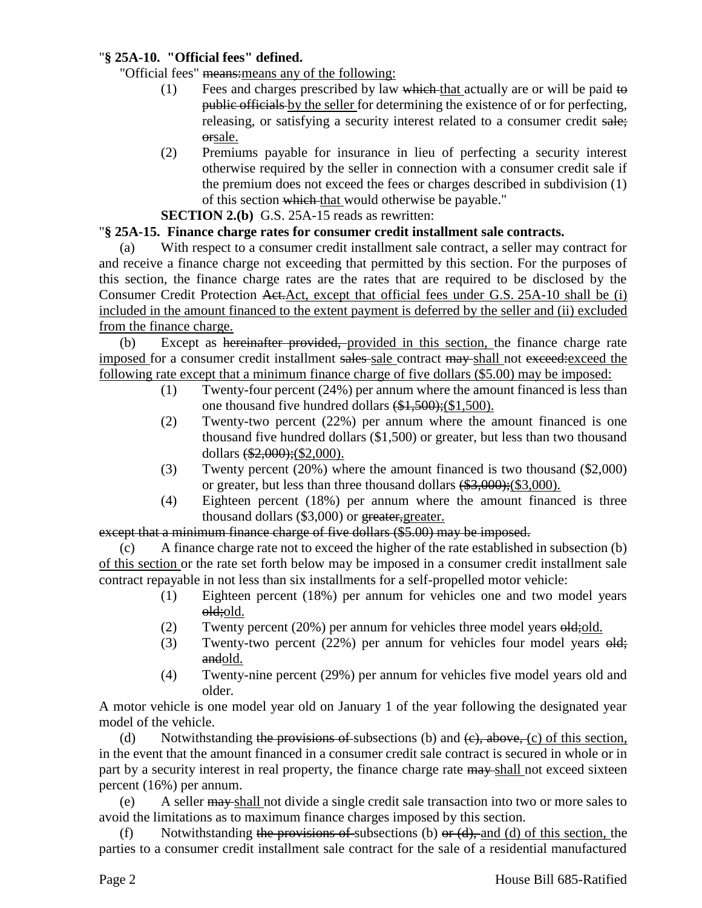### "**§ 25A-10. "Official fees" defined.**

"Official fees" means:means any of the following:

- (1) Fees and charges prescribed by law which that actually are or will be paid to public officials by the seller for determining the existence of or for perfecting, releasing, or satisfying a security interest related to a consumer credit sale; orsale.
- (2) Premiums payable for insurance in lieu of perfecting a security interest otherwise required by the seller in connection with a consumer credit sale if the premium does not exceed the fees or charges described in subdivision (1) of this section which that would otherwise be payable."

**SECTION 2.(b)** G.S. 25A-15 reads as rewritten:

### "**§ 25A-15. Finance charge rates for consumer credit installment sale contracts.**

(a) With respect to a consumer credit installment sale contract, a seller may contract for and receive a finance charge not exceeding that permitted by this section. For the purposes of this section, the finance charge rates are the rates that are required to be disclosed by the Consumer Credit Protection Act.Act, except that official fees under G.S. 25A-10 shall be (i) included in the amount financed to the extent payment is deferred by the seller and (ii) excluded from the finance charge.

(b) Except as hereinafter provided, provided in this section, the finance charge rate imposed for a consumer credit installment sales sale contract may shall not exceed: exceed the following rate except that a minimum finance charge of five dollars (\$5.00) may be imposed:

- (1) Twenty-four percent (24%) per annum where the amount financed is less than one thousand five hundred dollars (\$1,500);(\$1,500).
- (2) Twenty-two percent (22%) per annum where the amount financed is one thousand five hundred dollars (\$1,500) or greater, but less than two thousand dollars (\$2,000);(\$2,000).
- (3) Twenty percent (20%) where the amount financed is two thousand (\$2,000) or greater, but less than three thousand dollars (\$3,000);(\$3,000).
- (4) Eighteen percent (18%) per annum where the amount financed is three thousand dollars (\$3,000) or greater, greater.

### except that a minimum finance charge of five dollars (\$5.00) may be imposed.

(c) A finance charge rate not to exceed the higher of the rate established in subsection (b) of this section or the rate set forth below may be imposed in a consumer credit installment sale contract repayable in not less than six installments for a self-propelled motor vehicle:

- (1) Eighteen percent (18%) per annum for vehicles one and two model years old;old.
- (2) Twenty percent  $(20%)$  per annum for vehicles three model years  $\Theta$ **ld**; old.
- (3) Twenty-two percent (22%) per annum for vehicles four model years old; andold.
- (4) Twenty-nine percent (29%) per annum for vehicles five model years old and older.

A motor vehicle is one model year old on January 1 of the year following the designated year model of the vehicle.

(d) Notwithstanding the provisions of subsections (b) and  $(e)$ , above, (c) of this section, in the event that the amount financed in a consumer credit sale contract is secured in whole or in part by a security interest in real property, the finance charge rate  $\frac{may}{n}$ -shall not exceed sixteen percent (16%) per annum.

(e) A seller may shall not divide a single credit sale transaction into two or more sales to avoid the limitations as to maximum finance charges imposed by this section.

(f) Notwithstanding the provisions of subsections (b) or  $(d)$ , and (d) of this section, the parties to a consumer credit installment sale contract for the sale of a residential manufactured